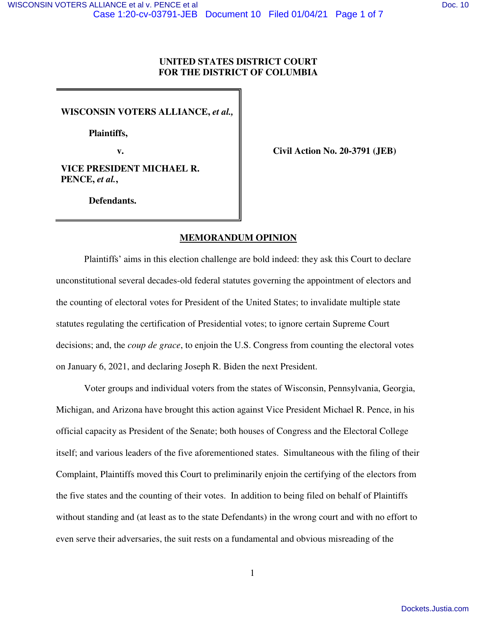# **UNITED STATES DISTRICT COURT FOR THE DISTRICT OF COLUMBIA**

**WISCONSIN VOTERS ALLIANCE,** *et al.,* 

 **Plaintiffs,** 

**v. civil Action No. 20-3791 (JEB)** 

**VICE PRESIDENT MICHAEL R. PENCE,** *et al.***,** 

**Defendants.** 

# **MEMORANDUM OPINION**

Plaintiffs' aims in this election challenge are bold indeed: they ask this Court to declare unconstitutional several decades-old federal statutes governing the appointment of electors and the counting of electoral votes for President of the United States; to invalidate multiple state statutes regulating the certification of Presidential votes; to ignore certain Supreme Court decisions; and, the *coup de grace*, to enjoin the U.S. Congress from counting the electoral votes on January 6, 2021, and declaring Joseph R. Biden the next President.

Voter groups and individual voters from the states of Wisconsin, Pennsylvania, Georgia, Michigan, and Arizona have brought this action against Vice President Michael R. Pence, in his official capacity as President of the Senate; both houses of Congress and the Electoral College itself; and various leaders of the five aforementioned states. Simultaneous with the filing of their Complaint, Plaintiffs moved this Court to preliminarily enjoin the certifying of the electors from the five states and the counting of their votes. In addition to being filed on behalf of Plaintiffs without standing and (at least as to the state Defendants) in the wrong court and with no effort to even serve their adversaries, the suit rests on a fundamental and obvious misreading of the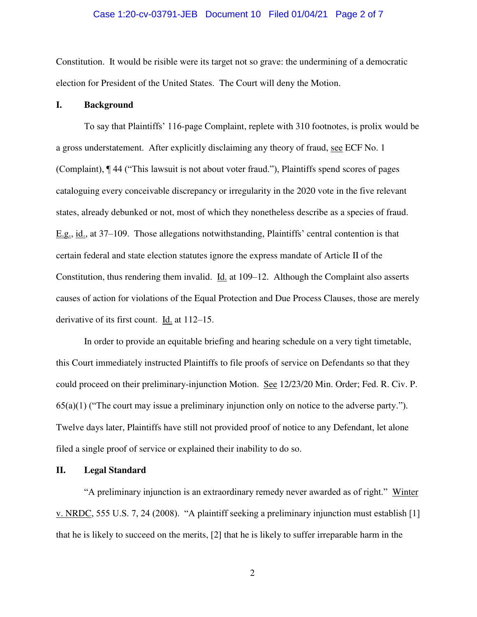# Case 1:20-cv-03791-JEB Document 10 Filed 01/04/21 Page 2 of 7

Constitution. It would be risible were its target not so grave: the undermining of a democratic election for President of the United States. The Court will deny the Motion.

## **I. Background**

To say that Plaintiffs' 116-page Complaint, replete with 310 footnotes, is prolix would be a gross understatement. After explicitly disclaiming any theory of fraud, see ECF No. 1 (Complaint), ¶ 44 ("This lawsuit is not about voter fraud."), Plaintiffs spend scores of pages cataloguing every conceivable discrepancy or irregularity in the 2020 vote in the five relevant states, already debunked or not, most of which they nonetheless describe as a species of fraud. E.g., id., at 37–109. Those allegations notwithstanding, Plaintiffs' central contention is that certain federal and state election statutes ignore the express mandate of Article II of the Constitution, thus rendering them invalid. Id. at 109–12. Although the Complaint also asserts causes of action for violations of the Equal Protection and Due Process Clauses, those are merely derivative of its first count. Id. at 112–15.

In order to provide an equitable briefing and hearing schedule on a very tight timetable, this Court immediately instructed Plaintiffs to file proofs of service on Defendants so that they could proceed on their preliminary-injunction Motion. See 12/23/20 Min. Order; Fed. R. Civ. P.  $65(a)(1)$  ("The court may issue a preliminary injunction only on notice to the adverse party."). Twelve days later, Plaintiffs have still not provided proof of notice to any Defendant, let alone filed a single proof of service or explained their inability to do so.

#### **II. Legal Standard**

"A preliminary injunction is an extraordinary remedy never awarded as of right." Winter v. NRDC, 555 U.S. 7, 24 (2008). "A plaintiff seeking a preliminary injunction must establish [1] that he is likely to succeed on the merits, [2] that he is likely to suffer irreparable harm in the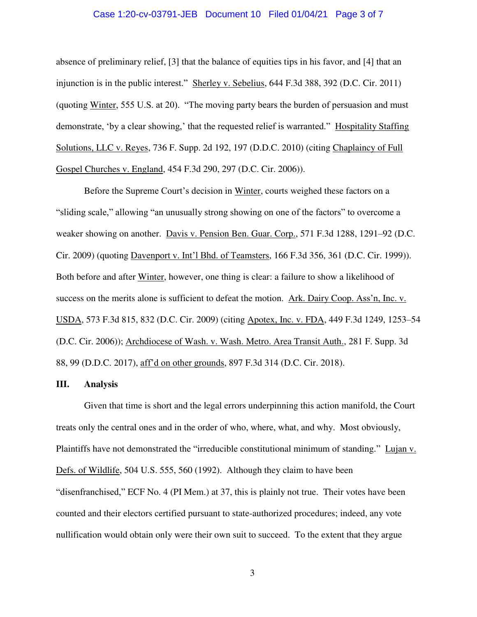# Case 1:20-cv-03791-JEB Document 10 Filed 01/04/21 Page 3 of 7

absence of preliminary relief, [3] that the balance of equities tips in his favor, and [4] that an injunction is in the public interest." Sherley v. Sebelius, 644 F.3d 388, 392 (D.C. Cir. 2011) (quoting Winter, 555 U.S. at 20). "The moving party bears the burden of persuasion and must demonstrate, 'by a clear showing,' that the requested relief is warranted." Hospitality Staffing Solutions, LLC v. Reyes, 736 F. Supp. 2d 192, 197 (D.D.C. 2010) (citing Chaplaincy of Full Gospel Churches v. England, 454 F.3d 290, 297 (D.C. Cir. 2006)).

Before the Supreme Court's decision in Winter, courts weighed these factors on a "sliding scale," allowing "an unusually strong showing on one of the factors" to overcome a weaker showing on another. Davis v. Pension Ben. Guar. Corp., 571 F.3d 1288, 1291–92 (D.C. Cir. 2009) (quoting Davenport v. Int'l Bhd. of Teamsters, 166 F.3d 356, 361 (D.C. Cir. 1999)). Both before and after Winter, however, one thing is clear: a failure to show a likelihood of success on the merits alone is sufficient to defeat the motion. Ark. Dairy Coop. Ass'n, Inc. v. USDA, 573 F.3d 815, 832 (D.C. Cir. 2009) (citing Apotex, Inc. v. FDA, 449 F.3d 1249, 1253–54 (D.C. Cir. 2006)); Archdiocese of Wash. v. Wash. Metro. Area Transit Auth., 281 F. Supp. 3d 88, 99 (D.D.C. 2017), aff'd on other grounds, 897 F.3d 314 (D.C. Cir. 2018).

# **III. Analysis**

Given that time is short and the legal errors underpinning this action manifold, the Court treats only the central ones and in the order of who, where, what, and why. Most obviously, Plaintiffs have not demonstrated the "irreducible constitutional minimum of standing." Lujan v. Defs. of Wildlife, 504 U.S. 555, 560 (1992). Although they claim to have been "disenfranchised," ECF No. 4 (PI Mem.) at 37, this is plainly not true. Their votes have been counted and their electors certified pursuant to state-authorized procedures; indeed, any vote nullification would obtain only were their own suit to succeed. To the extent that they argue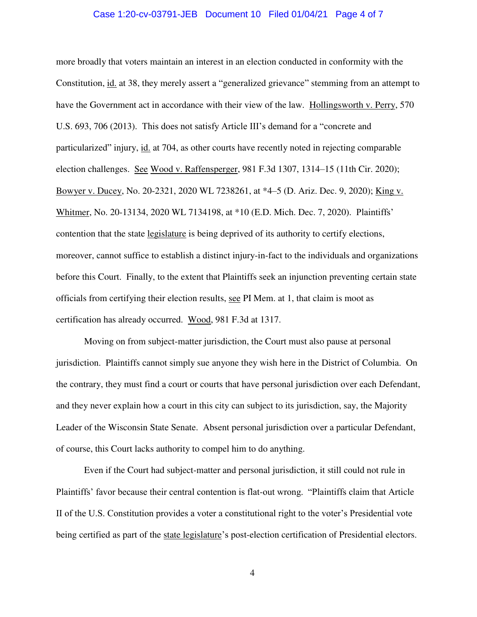## Case 1:20-cv-03791-JEB Document 10 Filed 01/04/21 Page 4 of 7

more broadly that voters maintain an interest in an election conducted in conformity with the Constitution, id. at 38, they merely assert a "generalized grievance" stemming from an attempt to have the Government act in accordance with their view of the law. Hollingsworth v. Perry, 570 U.S. 693, 706 (2013). This does not satisfy Article III's demand for a "concrete and particularized" injury, id. at 704, as other courts have recently noted in rejecting comparable election challenges. See Wood v. Raffensperger, 981 F.3d 1307, 1314–15 (11th Cir. 2020); Bowyer v. Ducey, No. 20-2321, 2020 WL 7238261, at \*4–5 (D. Ariz. Dec. 9, 2020); King v. Whitmer, No. 20-13134, 2020 WL 7134198, at \*10 (E.D. Mich. Dec. 7, 2020). Plaintiffs' contention that the state legislature is being deprived of its authority to certify elections, moreover, cannot suffice to establish a distinct injury-in-fact to the individuals and organizations before this Court. Finally, to the extent that Plaintiffs seek an injunction preventing certain state officials from certifying their election results, see PI Mem. at 1, that claim is moot as certification has already occurred. Wood, 981 F.3d at 1317.

Moving on from subject-matter jurisdiction, the Court must also pause at personal jurisdiction. Plaintiffs cannot simply sue anyone they wish here in the District of Columbia. On the contrary, they must find a court or courts that have personal jurisdiction over each Defendant, and they never explain how a court in this city can subject to its jurisdiction, say, the Majority Leader of the Wisconsin State Senate. Absent personal jurisdiction over a particular Defendant, of course, this Court lacks authority to compel him to do anything.

 Even if the Court had subject-matter and personal jurisdiction, it still could not rule in Plaintiffs' favor because their central contention is flat-out wrong. "Plaintiffs claim that Article II of the U.S. Constitution provides a voter a constitutional right to the voter's Presidential vote being certified as part of the state legislature's post-election certification of Presidential electors.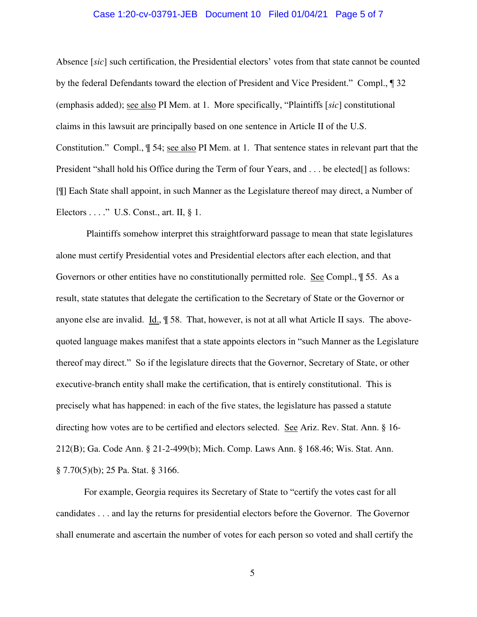# Case 1:20-cv-03791-JEB Document 10 Filed 01/04/21 Page 5 of 7

Absence [*sic*] such certification, the Presidential electors' votes from that state cannot be counted by the federal Defendants toward the election of President and Vice President." Compl., ¶ 32 (emphasis added); see also PI Mem. at 1. More specifically, "Plaintiffs [*sic*] constitutional claims in this lawsuit are principally based on one sentence in Article II of the U.S. Constitution." Compl., ¶ 54; see also PI Mem. at 1. That sentence states in relevant part that the President "shall hold his Office during the Term of four Years, and . . . be elected[] as follows: [¶] Each State shall appoint, in such Manner as the Legislature thereof may direct, a Number of Electors . . . ." U.S. Const., art. II, § 1.

 Plaintiffs somehow interpret this straightforward passage to mean that state legislatures alone must certify Presidential votes and Presidential electors after each election, and that Governors or other entities have no constitutionally permitted role. See Compl., ¶ 55. As a result, state statutes that delegate the certification to the Secretary of State or the Governor or anyone else are invalid. Id., ¶ 58. That, however, is not at all what Article II says. The abovequoted language makes manifest that a state appoints electors in "such Manner as the Legislature thereof may direct." So if the legislature directs that the Governor, Secretary of State, or other executive-branch entity shall make the certification, that is entirely constitutional. This is precisely what has happened: in each of the five states, the legislature has passed a statute directing how votes are to be certified and electors selected. See Ariz. Rev. Stat. Ann. § 16- 212(B); Ga. Code Ann. § 21-2-499(b); Mich. Comp. Laws Ann. § 168.46; Wis. Stat. Ann. § 7.70(5)(b); 25 Pa. Stat. § 3166.

For example, Georgia requires its Secretary of State to "certify the votes cast for all candidates . . . and lay the returns for presidential electors before the Governor. The Governor shall enumerate and ascertain the number of votes for each person so voted and shall certify the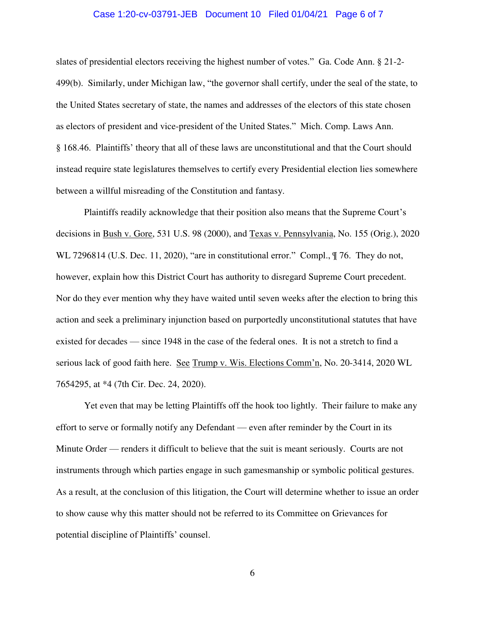# Case 1:20-cv-03791-JEB Document 10 Filed 01/04/21 Page 6 of 7

slates of presidential electors receiving the highest number of votes." Ga. Code Ann. § 21-2- 499(b). Similarly, under Michigan law, "the governor shall certify, under the seal of the state, to the United States secretary of state, the names and addresses of the electors of this state chosen as electors of president and vice-president of the United States." Mich. Comp. Laws Ann. § 168.46. Plaintiffs' theory that all of these laws are unconstitutional and that the Court should instead require state legislatures themselves to certify every Presidential election lies somewhere between a willful misreading of the Constitution and fantasy.

Plaintiffs readily acknowledge that their position also means that the Supreme Court's decisions in Bush v. Gore, 531 U.S. 98 (2000), and Texas v. Pennsylvania, No. 155 (Orig.), 2020 WL 7296814 (U.S. Dec. 11, 2020), "are in constitutional error." Compl.,  $\parallel$  76. They do not, however, explain how this District Court has authority to disregard Supreme Court precedent. Nor do they ever mention why they have waited until seven weeks after the election to bring this action and seek a preliminary injunction based on purportedly unconstitutional statutes that have existed for decades — since 1948 in the case of the federal ones. It is not a stretch to find a serious lack of good faith here. See Trump v. Wis. Elections Comm'n, No. 20-3414, 2020 WL 7654295, at \*4 (7th Cir. Dec. 24, 2020).

Yet even that may be letting Plaintiffs off the hook too lightly. Their failure to make any effort to serve or formally notify any Defendant — even after reminder by the Court in its Minute Order — renders it difficult to believe that the suit is meant seriously. Courts are not instruments through which parties engage in such gamesmanship or symbolic political gestures. As a result, at the conclusion of this litigation, the Court will determine whether to issue an order to show cause why this matter should not be referred to its Committee on Grievances for potential discipline of Plaintiffs' counsel.